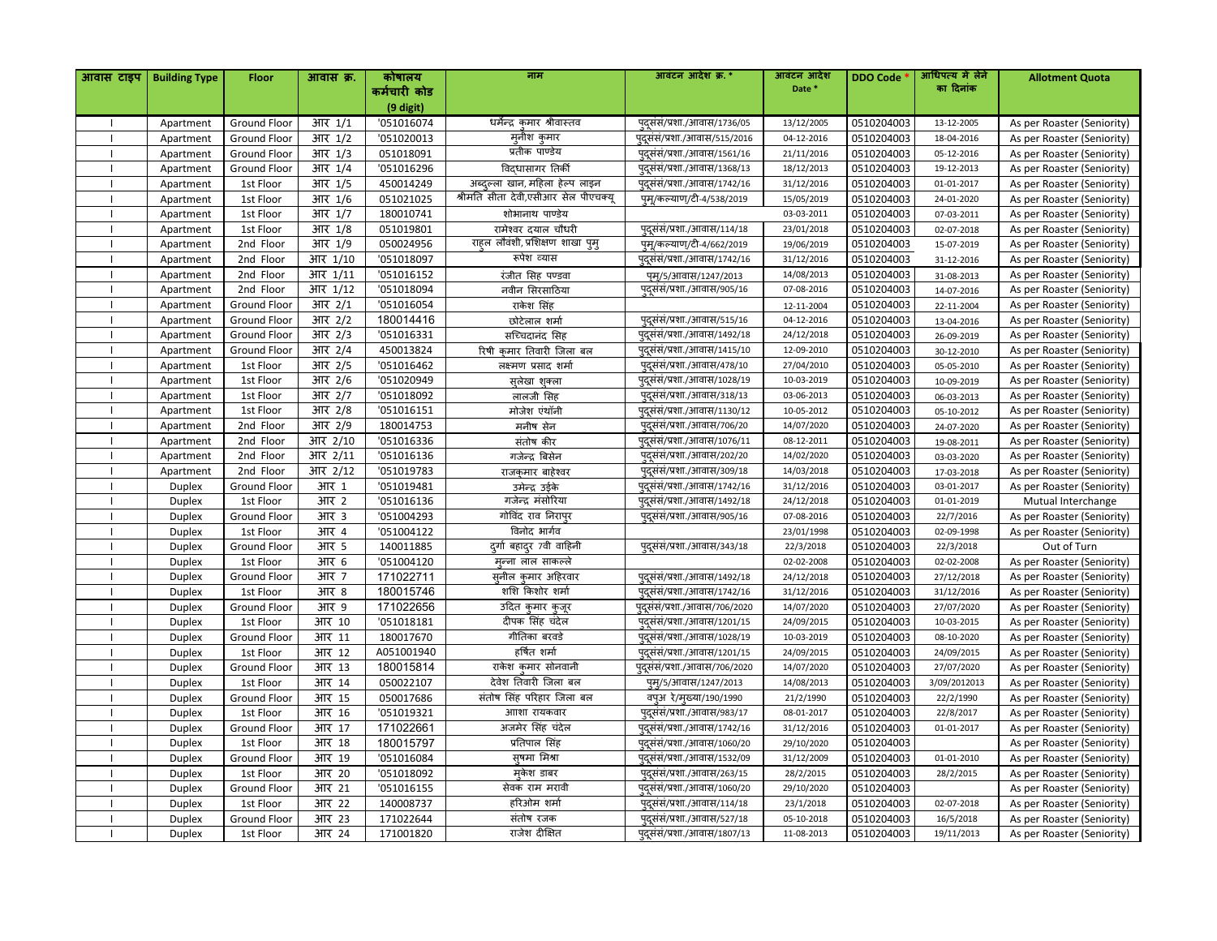| आवास टाइप      | <b>Building Type</b> | Floor        | आवास क्र.    | कोषालय       | नाम                                  | आवंटन आदेश क्र. *             | आवंटन आदेश | <b>DDO Code</b> | आधिपत्य में लेने | <b>Allotment Quota</b>     |
|----------------|----------------------|--------------|--------------|--------------|--------------------------------------|-------------------------------|------------|-----------------|------------------|----------------------------|
|                |                      |              |              | कर्मचारी कोड |                                      |                               | Date *     |                 | का दिनांक        |                            |
|                |                      |              |              | (9 digit)    |                                      |                               |            |                 |                  |                            |
| $\mathbf{I}$   | Apartment            | Ground Floor | $3\Pi$ $1/1$ | '051016074   | धर्मेन्द्र कुमार श्रीवास्तव          | पुदूसंसं/प्रशा./आवास/1736/05  | 13/12/2005 | 0510204003      | 13-12-2005       | As per Roaster (Seniority) |
| $\mathbf{I}$   | Apartment            | Ground Floor | $3\pi$ $1/2$ | '051020013   | म्लोश कुमार                          | पुदूसंसं/प्रशा./आवास/515/2016 | 04-12-2016 | 0510204003      | 18-04-2016       | As per Roaster (Seniority) |
| -1             | Apartment            | Ground Floor | आर 1/3       | 051018091    | प्रतीक पाण्डेय                       | पुदुसस/प्रशा./आवास/1561/16    | 21/11/2016 | 0510204003      | 05-12-2016       | As per Roaster (Seniority) |
| -1             | Apartment            | Ground Floor | आर 1/4       | '051016296   | विदधासागर तिर्की                     | पुदुसंसं/प्रशा./आवास/1368/13  | 18/12/2013 | 0510204003      | 19-12-2013       | As per Roaster (Seniority) |
| $\mathbf{I}$   | Apartment            | 1st Floor    | आर 1/5       | 450014249    | अब्दुल्ला खान, महिला हेल्प लाइन      | पुदूसस/प्रशा./आवास/1742/16    | 31/12/2016 | 0510204003      | 01-01-2017       | As per Roaster (Seniority) |
| $\mathbf{I}$   | Apartment            | 1st Floor    | आर 1/6       | 051021025    | श्रीमति सीता देवी,एसीआर सेल पीएचक्य् | प्#/कल्याण्/टी-4/538/2019     | 15/05/2019 | 0510204003      | 24-01-2020       | As per Roaster (Seniority) |
|                | Apartment            | 1st Floor    | आर 1/7       | 180010741    | शोभानाथ पाण्डेय                      |                               | 03-03-2011 | 0510204003      | 07-03-2011       | As per Roaster (Seniority) |
|                | Apartment            | 1st Floor    | आर 1/8       | 051019801    | रामेश्वर दयाल चौधरी                  | पुदुसंसं/प्रशा./आवास/114/18   | 23/01/2018 | 0510204003      | 02-07-2018       | As per Roaster (Seniority) |
|                | Apartment            | 2nd Floor    | आर 1/9       | 050024956    | राहल लौवंशी, प्रशिक्षण शाखा पुमु     | प्#/कल्याण/टी-4/662/2019      | 19/06/2019 | 0510204003      | 15-07-2019       | As per Roaster (Seniority) |
|                | Apartment            | 2nd Floor    | आर 1/10      | '051018097   | रूपेश व्यास                          | पुदूसंसं/प्रशा./आवास/1742/16  | 31/12/2016 | 0510204003      | 31-12-2016       | As per Roaster (Seniority) |
|                | Apartment            | 2nd Floor    | आर 1/11      | '051016152   | रंजीत सिंह पण्डवा                    | पम/5/आवास/1247/2013           | 14/08/2013 | 0510204003      | 31-08-2013       | As per Roaster (Seniority) |
|                | Apartment            | 2nd Floor    | आर 1/12      | '051018094   | नवीन सिरसाठिया                       | पुदूसंसं/प्रशा./आवास/905/16   | 07-08-2016 | 0510204003      | 14-07-2016       | As per Roaster (Seniority) |
| $\mathbf{I}$   | Apartment            | Ground Floor | $3\Pi$ 2/1   | '051016054   | राकेश सिंह                           |                               | 12-11-2004 | 0510204003      | 22-11-2004       | As per Roaster (Seniority) |
| H              | Apartment            | Ground Floor | आर 2/2       | 180014416    | छोटेलाल शर्मा                        | पुदूसंसं/प्रशा./आवास/515/16   | 04-12-2016 | 0510204003      | 13-04-2016       | As per Roaster (Seniority) |
| $\mathbf{I}$   | Apartment            | Ground Floor | आर 2/3       | '051016331   | सच्चिदानंद सिह                       | पुदूसंसं/प्रशा./आवास/1492/18  | 24/12/2018 | 0510204003      | 26-09-2019       | As per Roaster (Seniority) |
| $\mathbf{I}$   | Apartment            | Ground Floor | आर 2/4       | 450013824    | रिषी कमार तिवारी जिला बल             | पुदुसंसं/प्रशा./आवास/1415/10  | 12-09-2010 | 0510204003      | 30-12-2010       | As per Roaster (Seniority) |
| $\mathbf{I}$   | Apartment            | 1st Floor    | आर 2/5       | '051016462   | लक्ष्मण प्रसाद शर्मा                 | प्दूसस/प्रशा./आवास/478/10     | 27/04/2010 | 0510204003      | 05-05-2010       | As per Roaster (Seniority) |
| $\mathbf{I}$   | Apartment            | 1st Floor    | आर 2/6       | '051020949   | सलेखा शुक्ला                         | पुदूसस/प्रशा./आवास/1028/19    | 10-03-2019 | 0510204003      | 10-09-2019       | As per Roaster (Seniority) |
| $\mathbf{I}$   | Apartment            | 1st Floor    | आर 2/7       | '051018092   | लालजी सिंह                           | पुदूसस/प्रशा./आवास/318/13     | 03-06-2013 | 0510204003      | 06-03-2013       | As per Roaster (Seniority) |
| $\mathbf{I}$   | Apartment            | 1st Floor    | आर 2/8       | '051016151   | मोजेश एंथॉनी                         | पदुसंसं/प्रशा./आवास/1130/12   | 10-05-2012 | 0510204003      | 05-10-2012       | As per Roaster (Seniority) |
|                | Apartment            | 2nd Floor    | आर 2/9       | 180014753    | मनीष सेन                             | पुदूसस/प्रशा./आवास/706/20     | 14/07/2020 | 0510204003      | 24-07-2020       | As per Roaster (Seniority) |
|                | Apartment            | 2nd Floor    | आर 2/10      | '051016336   | संतोष कीर                            | पुदूसंसं/प्रशा./आवास/1076/11  | 08-12-2011 | 0510204003      | 19-08-2011       | As per Roaster (Seniority) |
|                | Apartment            | 2nd Floor    | आर 2/11      | '051016136   | गजेन्द्र बिसेन                       | पुदूसंसं/प्रशा./आवास/202/20   | 14/02/2020 | 0510204003      | 03-03-2020       | As per Roaster (Seniority) |
|                | Apartment            | 2nd Floor    | आर 2/12      | '051019783   | राजकुमार बाहेश्वर                    | पुदुसस/प्रशा./आवास/309/18     | 14/03/2018 | 0510204003      | 17-03-2018       | As per Roaster (Seniority) |
|                | <b>Duplex</b>        | Ground Floor | आर 1         | '051019481   | उमेन्द्र उईके                        | पुदुसंसं/प्रशा./आवास/1742/16  | 31/12/2016 | 0510204003      | 03-01-2017       | As per Roaster (Seniority) |
| $\overline{1}$ | <b>Duplex</b>        | 1st Floor    | आर 2         | '051016136   | गजेन्द्र मंसोरिया                    | पुदूसंसं/प्रशा./आवास/1492/18  | 24/12/2018 | 0510204003      | 01-01-2019       | Mutual Interchange         |
|                | Duplex               | Ground Floor | आर 3         | '051004293   | गोविंद राव निराप्र                   | पुदूसंसं/प्रशा./आवास/905/16   | 07-08-2016 | 0510204003      | 22/7/2016        | As per Roaster (Seniority) |
| $\mathbf{I}$   | Duplex               | 1st Floor    | आर 4         | '051004122   | विनोद भार्गव                         |                               | 23/01/1998 | 0510204003      | 02-09-1998       | As per Roaster (Seniority) |
|                | Duplex               | Ground Floor | आर 5         | 140011885    | दुर्गा बहादुर 7वी वाहिनी             | पुदुसंसं/प्रशा./आवास/343/18   | 22/3/2018  | 0510204003      | 22/3/2018        | Out of Turn                |
| $\mathbf{I}$   | Duplex               | 1st Floor    | आर 6         | '051004120   | मन्ना लाल साकल्ले                    |                               | 02-02-2008 | 0510204003      | 02-02-2008       | As per Roaster (Seniority) |
|                | Duplex               | Ground Floor | आर 7         | 171022711    | स् <b>नील कुमार अहिरवा</b> र         | पुदूसंसं/प्रशा./आवास/1492/18  | 24/12/2018 | 0510204003      | 27/12/2018       | As per Roaster (Seniority) |
| $\mathbf{I}$   | Duplex               | 1st Floor    | आर 8         | 180015746    | शशि किशोर शर्मा                      | पदुसंसं/प्रशा./आवास/1742/16   | 31/12/2016 | 0510204003      | 31/12/2016       | As per Roaster (Seniority) |
|                | Duplex               | Ground Floor | आर 9         | 171022656    | उदित कुमार कुजूर                     | पुदूसस/प्रशा./आवास/706/2020   | 14/07/2020 | 0510204003      | 27/07/2020       | As per Roaster (Seniority) |
| -1             | Duplex               | 1st Floor    | आर 10        | '051018181   | दीपक सिंह चंदेल                      | पुदुसंसं/प्रशा./आवास/1201/15  | 24/09/2015 | 0510204003      | 10-03-2015       | As per Roaster (Seniority) |
|                | Duplex               | Ground Floor | आर 11        | 180017670    | गीतिका बरवडे                         | पुदूसस/प्रशा./आवास/1028/19    | 10-03-2019 | 0510204003      | 08-10-2020       | As per Roaster (Seniority) |
|                | <b>Duplex</b>        | 1st Floor    | आर 12        | A051001940   | हर्षित शर्मा                         | पदुसंसं/प्रशा./आवास/1201/15   | 24/09/2015 | 0510204003      | 24/09/2015       | As per Roaster (Seniority) |
|                | Duplex               | Ground Floor | आर 13        | 180015814    | राकेश कुमार सोनवानी                  | पुदुसंसं/प्रशा./आवास/706/2020 | 14/07/2020 | 0510204003      | 27/07/2020       | As per Roaster (Seniority) |
|                | <b>Duplex</b>        | 1st Floor    | आर 14        | 050022107    | देवेश तिवारी जिला बल                 | पुम्/5/आवास/1247/2013         | 14/08/2013 | 0510204003      | 3/09/2012013     | As per Roaster (Seniority) |
|                | Duplex               | Ground Floor | आर 15        | 050017686    | संतोष सिंह परिहार जिला बल            | वप्अे रे/मुख्या/190/1990      | 21/2/1990  | 0510204003      | 22/2/1990        | As per Roaster (Seniority) |
|                | Duplex               | 1st Floor    | आर 16        | '051019321   | आशा रायकवार                          | पुदूसस/प्रशा./आवास/983/17     | 08-01-2017 | 0510204003      | 22/8/2017        | As per Roaster (Seniority) |
| $\mathbf{I}$   | <b>Duplex</b>        | Ground Floor | आर 17        | 171022661    | अजमेर सिंह चंदेल                     | प्दूसंसं/प्रशा./आवास/1742/16  | 31/12/2016 | 0510204003      | 01-01-2017       | As per Roaster (Seniority) |
|                | Duplex               | 1st Floor    | आर 18        | 180015797    | प्रतिपाल सिंह                        | पुदुसंसं/प्रशा./आवास/1060/20  | 29/10/2020 | 0510204003      |                  | As per Roaster (Seniority) |
| $\mathbf{I}$   | Duplex               | Ground Floor | आर 19        | '051016084   | सुषमा मिश्रा                         | पुदूसंसं/प्रशा./आवास/1532/09  | 31/12/2009 | 0510204003      | 01-01-2010       | As per Roaster (Seniority) |
|                | Duplex               | 1st Floor    | आर 20        | '051018092   | म्केश डाबर                           | पुदूसंसं/प्रशा./आवास/263/15   | 28/2/2015  | 0510204003      | 28/2/2015        | As per Roaster (Seniority) |
| $\mathbf{I}$   | Duplex               | Ground Floor | आर 21        | '051016155   | सेवक राम मरावी                       | पुदूसस/प्रशा./आवास/1060/20    | 29/10/2020 | 0510204003      |                  | As per Roaster (Seniority) |
|                | Duplex               | 1st Floor    | आर 22        | 140008737    | हरिओम शर्मा                          | पुदूसंसं/प्रशा./आवास/114/18   | 23/1/2018  | 0510204003      | 02-07-2018       | As per Roaster (Seniority) |
|                | Duplex               | Ground Floor | आर 23        | 171022644    | संतोष रजक                            | पुदूसंसं/प्रशा./आवास/527/18   | 05-10-2018 | 0510204003      | 16/5/2018        | As per Roaster (Seniority) |
|                | <b>Duplex</b>        | 1st Floor    | आर 24        | 171001820    | राजेश दीक्षित                        | पुदूसंसं/प्रशा./आवास/1807/13  | 11-08-2013 | 0510204003      | 19/11/2013       | As per Roaster (Seniority) |
|                |                      |              |              |              |                                      |                               |            |                 |                  |                            |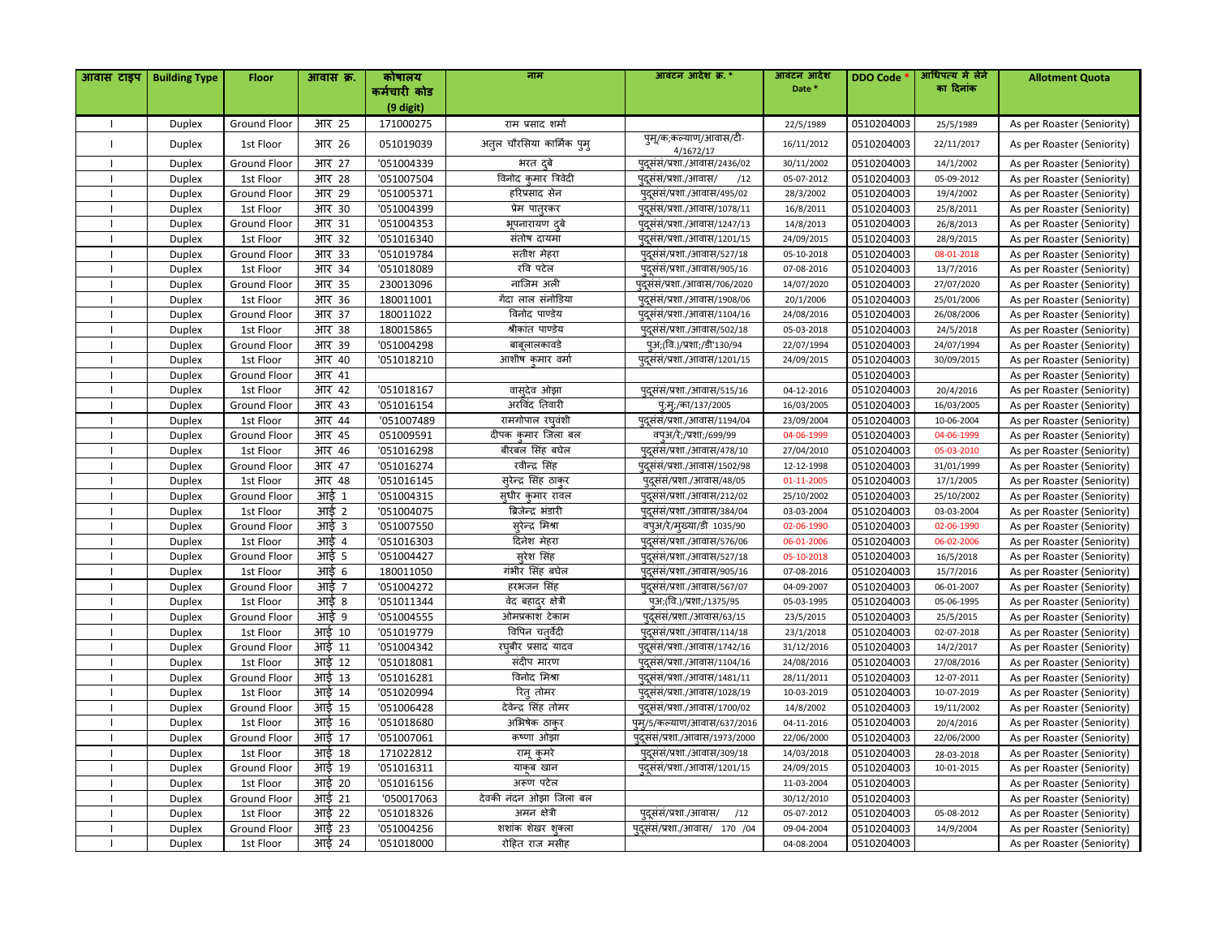| आवास टाइप      | <b>Building Type</b> | Floor        | आवास क्र.    | कोषालय       | नाम                       | आवटन आदेश क्र. *                     | आवंटन आदेश | <b>DDO Code</b> | आधिपत्य में लेने | <b>Allotment Quota</b>     |
|----------------|----------------------|--------------|--------------|--------------|---------------------------|--------------------------------------|------------|-----------------|------------------|----------------------------|
|                |                      |              |              | कर्मचारी कोड |                           |                                      | Date *     |                 | का दिनांक        |                            |
|                |                      |              |              | (9 digit)    |                           |                                      |            |                 |                  |                            |
| $\mathbf{I}$   | Duplex               | Ground Floor | आर 25        | 171000275    | राम प्रसाद शर्मा          |                                      | 22/5/1989  | 0510204003      | 25/5/1989        | As per Roaster (Seniority) |
|                | Duplex               | 1st Floor    | आर 26        | 051019039    | अतुल चौरसिया कार्मिक पुमु | पुम्/क;कल्याण्/आवास/टी-<br>4/1672/17 | 16/11/2012 | 0510204003      | 22/11/2017       | As per Roaster (Seniority) |
|                | Duplex               | Ground Floor | आर 27        | '051004339   | भरत दबे                   | पुदुसंसं/प्रशा./आवास/2436/02         | 30/11/2002 | 0510204003      | 14/1/2002        | As per Roaster (Seniority) |
|                | Duplex               | 1st Floor    | आर 28        | '051007504   | विनोद कुमार त्रिवेदी      | पुदूसंसं/प्रशा./आवास/<br>/12         | 05-07-2012 | 0510204003      | 05-09-2012       | As per Roaster (Seniority) |
|                | Duplex               | Ground Floor | आर 29        | '051005371   | हरिप्रसाद सेन             | पुदूसंसं/प्रशा./आवास/495/02          | 28/3/2002  | 0510204003      | 19/4/2002        | As per Roaster (Seniority) |
|                | Duplex               | 1st Floor    | आर 30        | '051004399   | प्रेम पात्रकर             | पुदूसंसं/प्रशा./आवास/1078/11         | 16/8/2011  | 0510204003      | 25/8/2011        | As per Roaster (Seniority) |
| $\mathbf{I}$   | Duplex               | Ground Floor | आर 31        | '051004353   | भूपनारायण दबे             | पुदुसंसं/प्रशा./आवास/1247/13         | 14/8/2013  | 0510204003      | 26/8/2013        | As per Roaster (Seniority) |
|                | Duplex               | 1st Floor    | आर 32        | '051016340   | संतोष दायमा               | पुदुसंसं/प्रशा./आवास/1201/15         | 24/09/2015 | 0510204003      | 28/9/2015        | As per Roaster (Seniority) |
| $\mathbf{I}$   | Duplex               | Ground Floor | आर 33        | '051019784   | सतीश मेहरा                | पुदूसंसं/प्रशा./आवास/527/18          | 05-10-2018 | 0510204003      | 08-01-2018       | As per Roaster (Seniority) |
| -1             | Duplex               | 1st Floor    | आर 34        | '051018089   | रवि पटेल                  | पुदुसंसं/प्रशा./आवास/905/16          | 07-08-2016 | 0510204003      | 13/7/2016        | As per Roaster (Seniority) |
| -1             | <b>Duplex</b>        | Ground Floor | आर 35        | 230013096    | नाजिम अली                 | पदुसंसं/प्रशा./आवास/706/2020         | 14/07/2020 | 0510204003      | 27/07/2020       | As per Roaster (Seniority) |
|                | Duplex               | 1st Floor    | आर 36        | 180011001    | गेंदा लाल संनोडिया        | पदुसंसं/प्रशा./आवास/1908/06          | 20/1/2006  | 0510204003      | 25/01/2006       | As per Roaster (Seniority) |
|                | Duplex               | Ground Floor | आर 37        | 180011022    | विनोद पाण्डेय             | पुदुसंसं/प्रशा./आवास/1104/16         | 24/08/2016 | 0510204003      | 26/08/2006       | As per Roaster (Seniority) |
|                | Duplex               | 1st Floor    | आर 38        | 180015865    | श्रीकांत पाण्डेय          | पुदुसंसं/प्रशा./आवास/502/18          | 05-03-2018 | 0510204003      | 24/5/2018        | As per Roaster (Seniority) |
|                | Duplex               | Ground Floor | <b>आर 39</b> | '051004298   | बाबलालकावडे               | पअ;(वि.)/प्रशा;/डी'130/94            | 22/07/1994 | 0510204003      | 24/07/1994       | As per Roaster (Seniority) |
| $\mathbf{I}$   | Duplex               | 1st Floor    | आर 40        | '051018210   | आशीष कुमार वर्मा          | पुदूसंसं/प्रशा./आवास/1201/15         | 24/09/2015 | 0510204003      | 30/09/2015       | As per Roaster (Seniority) |
|                | Duplex               | Ground Floor | आर 41        |              |                           |                                      |            | 0510204003      |                  | As per Roaster (Seniority) |
| $\mathbf{I}$   | Duplex               | 1st Floor    | आर 42        | '051018167   | वास् <i>देव ओ</i> झा      | पुदूसंसं/प्रशा./आवास/515/16          | 04-12-2016 | 0510204003      | 20/4/2016        | As per Roaster (Seniority) |
| -1             | Duplex               | Ground Floor | आर 43        | '051016154   | अरविंद तिवारी             | प्;म्;/का/137/2005                   | 16/03/2005 | 0510204003      | 16/03/2005       | As per Roaster (Seniority) |
| $\mathbf{I}$   | Duplex               | 1st Floor    | आर 44        | '051007489   | रामगोपाल रघवंशी           | पदुसंसं/प्रशा./आवास/1194/04          | 23/09/2004 | 0510204003      | 10-06-2004       | As per Roaster (Seniority) |
|                | Duplex               | Ground Floor | आर 45        | 051009591    | दीपक कुमार जिला बल        | वप्अ/रे;/प्रशा;/699/99               | 04-06-1999 | 0510204003      | 04-06-1999       | As per Roaster (Seniority) |
|                | Duplex               | 1st Floor    | आर 46        | '051016298   | बीरबल सिंह बघेल           | पुदूसंसं/प्रशा./आवास/478/10          | 27/04/2010 | 0510204003      | 05-03-2010       | As per Roaster (Seniority) |
|                | <b>Duplex</b>        | Ground Floor | आर 47        | '051016274   | रवीन्द्र सिंह             | पुदुसंसं/प्रशा./आवास/1502/98         | 12-12-1998 | 0510204003      | 31/01/1999       | As per Roaster (Seniority) |
|                | Duplex               | 1st Floor    | आर 48        | '051016145   | स़रेन्द्र सिंह ठाकुर      | पुदूसंसं/प्रशा./आवास/48/05           | 01-11-2005 | 0510204003      | 17/1/2005        | As per Roaster (Seniority) |
| $\overline{1}$ | Duplex               | Ground Floor | आई 1         | '051004315   | स्धीर कुमार रावल          | पुदूसंसं/प्रशा./आवास/212/02          | 25/10/2002 | 0510204003      | 25/10/2002       | As per Roaster (Seniority) |
|                | Duplex               | 1st Floor    | आई 2         | '051004075   | ब्रिजेन्द्र भंडारी        | पुदूसंसं/प्रशा./आवास/384/04          | 03-03-2004 | 0510204003      | 03-03-2004       | As per Roaster (Seniority) |
| $\mathbf{I}$   | Duplex               | Ground Floor | आई 3         | '051007550   | सुरेन्द्र मिश्रा          | वप्अ/रे/मुख्या/डी 1035/90            | 02-06-1990 | 0510204003      | 02-06-1990       | As per Roaster (Seniority) |
|                | Duplex               | 1st Floor    | आई 4         | '051016303   | दिनेश मेहरा               | पुदूसस/प्रशा./आवास/576/06            | 06-01-2006 | 0510204003      | 06-02-2006       | As per Roaster (Seniority) |
|                | Duplex               | Ground Floor | आई 5         | '051004427   | सुरेश सिंह                | पुदूसस/प्रशा./आवास/527/18            | 05-10-2018 | 0510204003      | 16/5/2018        | As per Roaster (Seniority) |
|                | Duplex               | 1st Floor    | आई 6         | 180011050    | गंभीर सिंह बघेल           | पुदूसंसं/प्रशा./आवास/905/16          | 07-08-2016 | 0510204003      | 15/7/2016        | As per Roaster (Seniority) |
|                | Duplex               | Ground Floor | आई 7         | '051004272   | हरभजन सिंह                | पुदूसंसं/प्रशा./आवास/567/07          | 04-09-2007 | 0510204003      | 06-01-2007       | As per Roaster (Seniority) |
|                | Duplex               | 1st Floor    | आई 8         | '051011344   | वेद बहादुर क्षेत्री       | पुअ;(वि.)/प्रशा;/1375/95             | 05-03-1995 | 0510204003      | 05-06-1995       | As per Roaster (Seniority) |
|                | Duplex               | Ground Floor | आई 9         | '051004555   | ओमप्रकाश टेकाम            | प्दूसस/प्रशा./आवास/63/15             | 23/5/2015  | 0510204003      | 25/5/2015        | As per Roaster (Seniority) |
| $\mathbf{I}$   | Duplex               | 1st Floor    | आई 10        | '051019779   | विपिन चतुर्वेदी           | पुदूसंसं/प्रशा./आवास/114/18          | 23/1/2018  | 0510204003      | 02-07-2018       | As per Roaster (Seniority) |
| <b>I</b>       | Duplex               | Ground Floor | आई 11        | '051004342   | रघ्बीर प्रसाद यादव        | पुदुसंसं/प्रशा./आवास/1742/16         | 31/12/2016 | 0510204003      | 14/2/2017        | As per Roaster (Seniority) |
| $\mathbf{I}$   | Duplex               | 1st Floor    | आई 12        | '051018081   | संदीप मारण                | पुदुसंसं/प्रशा./आवास/1104/16         | 24/08/2016 | 0510204003      | 27/08/2016       | As per Roaster (Seniority) |
|                | Duplex               | Ground Floor | आई 13        | '051016281   | विनोद मिश्रा              | पुदुसंसं/प्रशा./आवास/1481/11         | 28/11/2011 | 0510204003      | 12-07-2011       | As per Roaster (Seniority) |
| -1             | Duplex               | 1st Floor    | आई 14        | '051020994   | रित् तोमर                 | पुदूसंसं/प्रशा./आवास/1028/19         | 10-03-2019 | 0510204003      | 10-07-2019       | As per Roaster (Seniority) |
| -1             | Duplex               | Ground Floor | आई 15        | '051006428   | देवेन्द्र सिंह तोमर       | पदुसंसं/प्रशा./आवास/1700/02          | 14/8/2002  | 0510204003      | 19/11/2002       | As per Roaster (Seniority) |
| -1             | <b>Duplex</b>        | 1st Floor    | आई 16        | '051018680   | अभिषेक ठाकर               | प्#/5/कल्याण/आवास/637/2016           | 04-11-2016 | 0510204003      | 20/4/2016        | As per Roaster (Seniority) |
|                | Duplex               | Ground Floor | आई 17        | '051007061   | क़ष्णा ओझा                | पुदुसस/प्रशा./आवास/1973/2000         | 22/06/2000 | 0510204003      | 22/06/2000       | As per Roaster (Seniority) |
|                | Duplex               | 1st Floor    | आई 18        | 171022812    | रामू कुमरे                | पुदूसंसं/प्रशा./आवास/309/18          | 14/03/2018 | 0510204003      | 28-03-2018       | As per Roaster (Seniority) |
|                | Duplex               | Ground Floor | आई 19        | '051016311   | याकुब खान                 | पुदूसंसं/प्रशा./आवास/1201/15         | 24/09/2015 | 0510204003      | 10-01-2015       | As per Roaster (Seniority) |
| $\mathbf{I}$   | Duplex               | 1st Floor    | आई 20        | '051016156   | अरूण पटेल                 |                                      | 11-03-2004 | 0510204003      |                  | As per Roaster (Seniority) |
| $\mathbf{I}$   | Duplex               | Ground Floor | आई 21        | '050017063   | देवकी नंदन ओझा जिला बल    |                                      | 30/12/2010 | 0510204003      |                  | As per Roaster (Seniority) |
|                | Duplex               | 1st Floor    | आई 22        | '051018326   | अमन क्षेत्री              | पुदूसंसं/प्रशा./आवास/<br>/12         | 05-07-2012 | 0510204003      | 05-08-2012       | As per Roaster (Seniority) |
| $\mathbf{I}$   | Duplex               | Ground Floor | आई 23        | '051004256   | शशांक शेखर शुक्ला         | पुदूसंसं/प्रशा./आवास/ 170 /04        | 09-04-2004 | 0510204003      | 14/9/2004        | As per Roaster (Seniority) |
|                | Duplex               | 1st Floor    | आई 24        | '051018000   | रोहित राज मसीह            |                                      | 04-08-2004 | 0510204003      |                  | As per Roaster (Seniority) |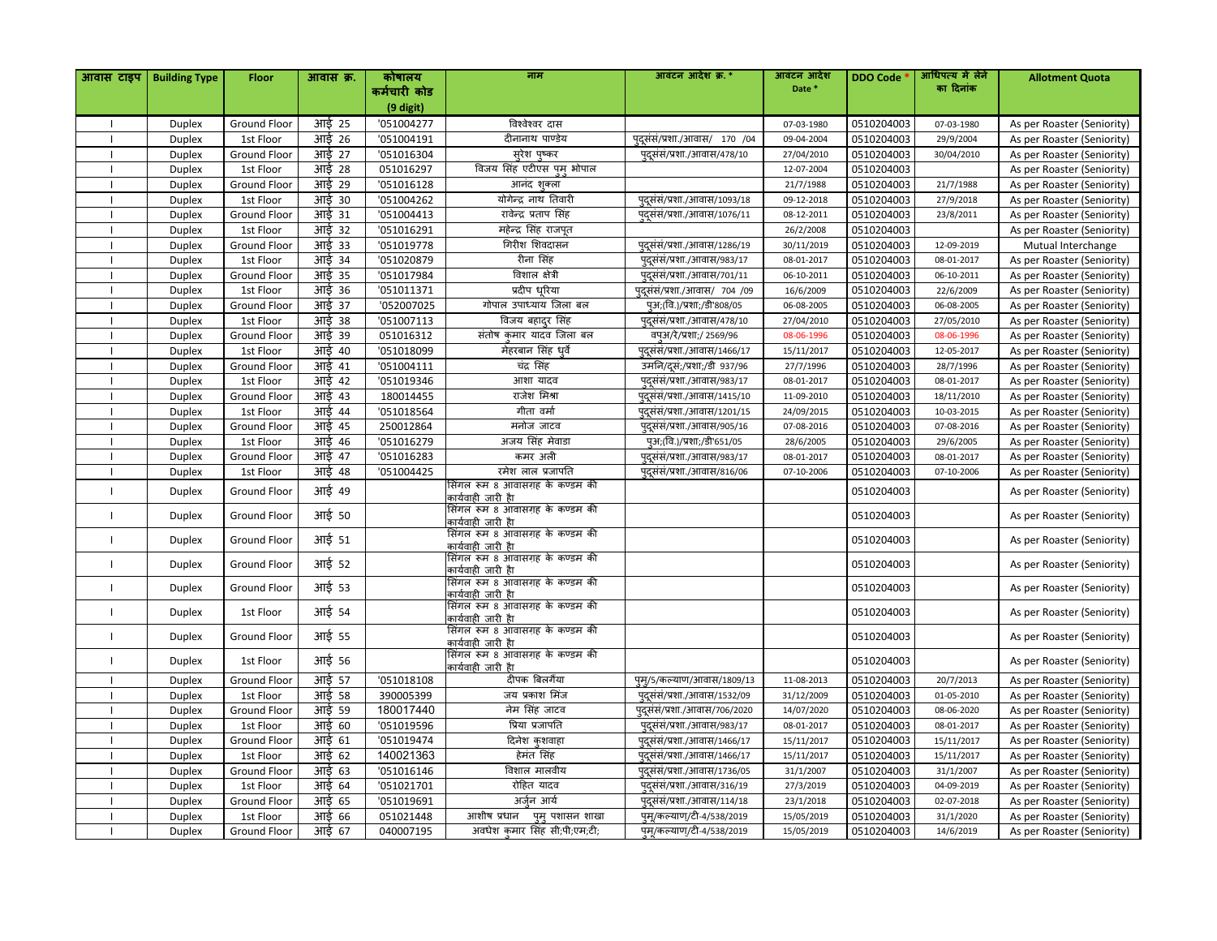| आवास टाइप                | <b>Building Type</b> | <b>Floor</b> | आवास क्र.    | कोषालय       | नाम                                                   | आवंटन आदेश क्र. *             | आवंटन आदेश | <b>DDO Code</b> | आधिपत्य में लेने | <b>Allotment Quota</b>     |
|--------------------------|----------------------|--------------|--------------|--------------|-------------------------------------------------------|-------------------------------|------------|-----------------|------------------|----------------------------|
|                          |                      |              |              | कर्मचारी कोड |                                                       |                               | Date *     |                 | का दिनांक        |                            |
|                          |                      |              |              | (9 digit)    |                                                       |                               |            |                 |                  |                            |
|                          | Duplex               | Ground Floor | आई 25        | '051004277   | विश्वेश्वर दास                                        |                               | 07-03-1980 | 0510204003      | 07-03-1980       | As per Roaster (Seniority) |
|                          | Duplex               | 1st Floor    | आई 26        | '051004191   | दीनानाथ पाण्डेय                                       | पुदूसंसं/प्रशा./आवास/ 170 /04 | 09-04-2004 | 0510204003      | 29/9/2004        | As per Roaster (Seniority) |
|                          | Duplex               | Ground Floor | आई 27        | '051016304   | सुरेश पुष्कर                                          | पुदूसंसं/प्रशा./आवास/478/10   | 27/04/2010 | 0510204003      | 30/04/2010       | As per Roaster (Seniority) |
|                          | Duplex               | 1st Floor    | आई 28        | 051016297    | विजय सिंह एटीएस पुम् भोपाल                            |                               | 12-07-2004 | 0510204003      |                  | As per Roaster (Seniority) |
| -1                       | Duplex               | Ground Floor | आई 29        | '051016128   | आनंद शुक्ला                                           |                               | 21/7/1988  | 0510204003      | 21/7/1988        | As per Roaster (Seniority) |
|                          | Duplex               | 1st Floor    | आई 30        | '051004262   | योगेन्द्र नाथ तिवारी                                  | पुदूसस/प्रशा./आवास/1093/18    | 09-12-2018 | 0510204003      | 27/9/2018        | As per Roaster (Seniority) |
|                          | Duplex               | Ground Floor | आई 31        | '051004413   | रावेन्द्र प्रताप सिंह                                 | पुदूसस/प्रशा./आवास/1076/11    | 08-12-2011 | 0510204003      | 23/8/2011        | As per Roaster (Seniority) |
|                          | Duplex               | 1st Floor    | आई 32        | '051016291   | महेन्द्र सिंह राजपूत                                  |                               | 26/2/2008  | 0510204003      |                  | As per Roaster (Seniority) |
| -1                       | <b>Duplex</b>        | Ground Floor | आई 33        | '051019778   | गिरीश शिवदासन                                         | पदुसंसं/प्रशा./आवास/1286/19   | 30/11/2019 | 0510204003      | 12-09-2019       | Mutual Interchange         |
|                          | Duplex               | 1st Floor    | <b>आई 34</b> | '051020879   | रीना सिंह                                             | पदुसंसं/प्रशा./आवास/983/17    | 08-01-2017 | 0510204003      | 08-01-2017       | As per Roaster (Seniority) |
|                          | <b>Duplex</b>        | Ground Floor | आई 35        | '051017984   | विशाल क्षेत्री                                        | पुदुसंसं/प्रशा./आवास/701/11   | 06-10-2011 | 0510204003      | 06-10-2011       | As per Roaster (Seniority) |
|                          | Duplex               | 1st Floor    | आई 36        | '051011371   | प्रदीप धूरिया                                         | पुदूसंसं/प्रशा./आवास/ 704 /09 | 16/6/2009  | 0510204003      | 22/6/2009        | As per Roaster (Seniority) |
|                          | Duplex               | Ground Floor | आई 37        | '052007025   | गोपाल उपाध्याय जिला बल                                | प्अ;(वि.)/प्रशा;/डी'808/05    | 06-08-2005 | 0510204003      | 06-08-2005       | As per Roaster (Seniority) |
|                          | <b>Duplex</b>        | 1st Floor    | आई 38        | '051007113   | विजय बहाद्र सिंह                                      | पदुसंसं/प्रशा./आवास/478/10    | 27/04/2010 | 0510204003      | 27/05/2010       | As per Roaster (Seniority) |
|                          | Duplex               | Ground Floor | आई 39        | 051016312    | संतोष कुमार यादव जिला बल                              | वप्अ/रे/प्रशा;/ 2569/96       | 08-06-1996 | 0510204003      | 08-06-1996       | As per Roaster (Seniority) |
| $\blacksquare$           | Duplex               | 1st Floor    | आई 40        | '051018099   | मेहरबान सिंह ध्वे                                     | पुदूसंसं/प्रशा./आवास/1466/17  | 15/11/2017 | 0510204003      | 12-05-2017       | As per Roaster (Seniority) |
|                          | Duplex               | Ground Floor | आई 41        | '051004111   | चंद्र सिंह                                            | उमनि/दूसं;/प्रशा;/डी 937/96   | 27/7/1996  | 0510204003      | 28/7/1996        | As per Roaster (Seniority) |
| - 1                      | Duplex               | 1st Floor    | आई 42        | '051019346   | आशा यादव                                              | पदुसस/प्रशा./आवास/983/17      | 08-01-2017 | 0510204003      | 08-01-2017       | As per Roaster (Seniority) |
|                          | Duplex               | Ground Floor | आई 43        | 180014455    | राजेश मिश्रा                                          | पुदूसस/प्रशा./आवास/1415/10    | 11-09-2010 | 0510204003      | 18/11/2010       | As per Roaster (Seniority) |
|                          | Duplex               | 1st Floor    | आई 44        | '051018564   | गीता वर्मा                                            | पुदूसंसं/प्रशा./आवास/1201/15  | 24/09/2015 | 0510204003      | 10-03-2015       | As per Roaster (Seniority) |
|                          | Duplex               | Ground Floor | आई 45        | 250012864    | मनोज जाटव                                             | पुदुसंसं/प्रशा./आवास/905/16   | 07-08-2016 | 0510204003      | 07-08-2016       | As per Roaster (Seniority) |
|                          | Duplex               | 1st Floor    | आई 46        | '051016279   | अजय सिंह मेवाडा                                       | पअ;(वि.)/प्रशा;/डी'651/05     | 28/6/2005  | 0510204003      | 29/6/2005        | As per Roaster (Seniority) |
|                          | Duplex               | Ground Floor | आई 47        | '051016283   | कमर अली                                               | प्दूसस/प्रशा./आवास/983/17     | 08-01-2017 | 0510204003      | 08-01-2017       | As per Roaster (Seniority) |
|                          | Duplex               | 1st Floor    | आई 48        | '051004425   | रमेश लाल प्रजापति                                     | पुदूसंसं/प्रशा./आवास/816/06   | 07-10-2006 | 0510204003      | 07-10-2006       | As per Roaster (Seniority) |
| $\mathbf{I}$             | Duplex               | Ground Floor | आई 49        |              | सिंगल रूम 8 आवासग़ह के कण्डम की<br>कार्यवाही जारी हैा |                               |            | 0510204003      |                  | As per Roaster (Seniority) |
| $\overline{\phantom{a}}$ | Duplex               | Ground Floor | आई 50        |              | सिंगल रूम 8 आवासग़ह के कण्डम की<br>कार्यवाही जारी हैा |                               |            | 0510204003      |                  | As per Roaster (Seniority) |
|                          | Duplex               | Ground Floor | आई 51        |              | सिंगल रूम 8 आवासग़ह के कण्डम की<br>कार्यवाही जारी हैा |                               |            | 0510204003      |                  | As per Roaster (Seniority) |
| $\mathbf{I}$             | Duplex               | Ground Floor | आई 52        |              | सिंगल रूम 8 आवासग़ह के कण्डम की<br>कार्यवाही जारी हैा |                               |            | 0510204003      |                  | As per Roaster (Seniority) |
| $\mathbf{I}$             | Duplex               | Ground Floor | आई 53        |              | सिंगल रूम 8 आवासग़ह के कण्डम की<br>कार्यवाही जारी हैा |                               |            | 0510204003      |                  | As per Roaster (Seniority) |
| $\mathbf{I}$             | Duplex               | 1st Floor    | आई 54        |              | सिंगल रूम 8 आवासग़ह के कण्डम की<br>कार्यवाही जारी हैा |                               |            | 0510204003      |                  | As per Roaster (Seniority) |
| $\mathbf{I}$             | Duplex               | Ground Floor | आई 55        |              | सिंगल रूम 8 आवासग़ह के कण्डम की<br>कार्यवाही जारी हैा |                               |            | 0510204003      |                  | As per Roaster (Seniority) |
| $\mathbf{I}$             | Duplex               | 1st Floor    | आई 56        |              | सिंगल रूम 8 आवासग़ह के कण्डम की<br>कार्यवाही जारी हैा |                               |            | 0510204003      |                  | As per Roaster (Seniority) |
|                          | <b>Duplex</b>        | Ground Floor | आई 57        | '051018108   | दीपक बिलगैंया                                         | प्#/5/कल्याण/आवास/1809/13     | 11-08-2013 | 0510204003      | 20/7/2013        | As per Roaster (Seniority) |
|                          | <b>Duplex</b>        | 1st Floor    | आई 58        | 390005399    | जय प्रकाश मिंज                                        | पुदूसंसं/प्रशा./आवास/1532/09  | 31/12/2009 | 0510204003      | 01-05-2010       | As per Roaster (Seniority) |
|                          | Duplex               | Ground Floor | आई 59        | 180017440    | नेम सिंह जाटव                                         | पुदूसंसं/प्रशा./आवास/706/2020 | 14/07/2020 | 0510204003      | 08-06-2020       | As per Roaster (Seniority) |
| $\blacksquare$           | Duplex               | 1st Floor    | आई 60        | '051019596   | प्रिया प्रजापति                                       | पुदुसंसं/प्रशा./आवास/983/17   | 08-01-2017 | 0510204003      | 08-01-2017       | As per Roaster (Seniority) |
| $\blacksquare$           | Duplex               | Ground Floor | आई 61        | '051019474   | दिनेश कुशवाहा                                         | पुदूसंसं/प्रशा./आवास/1466/17  | 15/11/2017 | 0510204003      | 15/11/2017       | As per Roaster (Seniority) |
| $\blacksquare$           | Duplex               | 1st Floor    | आई 62        | 140021363    | हेमंत सिंह                                            | पुदूसंसं/प्रशा./आवास/1466/17  | 15/11/2017 | 0510204003      | 15/11/2017       | As per Roaster (Seniority) |
|                          | Duplex               | Ground Floor | आई 63        | '051016146   | विशाल मालवीय                                          | पुदूसंसं/प्रशा./आवास/1736/05  | 31/1/2007  | 0510204003      | 31/1/2007        | As per Roaster (Seniority) |
|                          | Duplex               | 1st Floor    | आई 64        | '051021701   | रोहित यादव                                            | पुदूसंसं/प्रशा./आवास/316/19   | 27/3/2019  | 0510204003      | 04-09-2019       | As per Roaster (Seniority) |
|                          | Duplex               | Ground Floor | आई 65        | '051019691   | अर्जुन आये                                            | प्दूसस/प्रशा./आवास/114/18     | 23/1/2018  | 0510204003      | 02-07-2018       | As per Roaster (Seniority) |
|                          | Duplex               | 1st Floor    | आई 66        | 051021448    | पुम् पशासन शाखा<br>आशीष प्रधान                        | प्म्/कल्याण्/टी-4/538/2019    | 15/05/2019 | 0510204003      | 31/1/2020        | As per Roaster (Seniority) |
|                          | <b>Duplex</b>        | Ground Floor | आई 67        | 040007195    | अवधेश कुमार सिंह सी;पी;एम;टी;                         | प्#/कल्याण्/टी-4/538/2019     | 15/05/2019 | 0510204003      | 14/6/2019        | As per Roaster (Seniority) |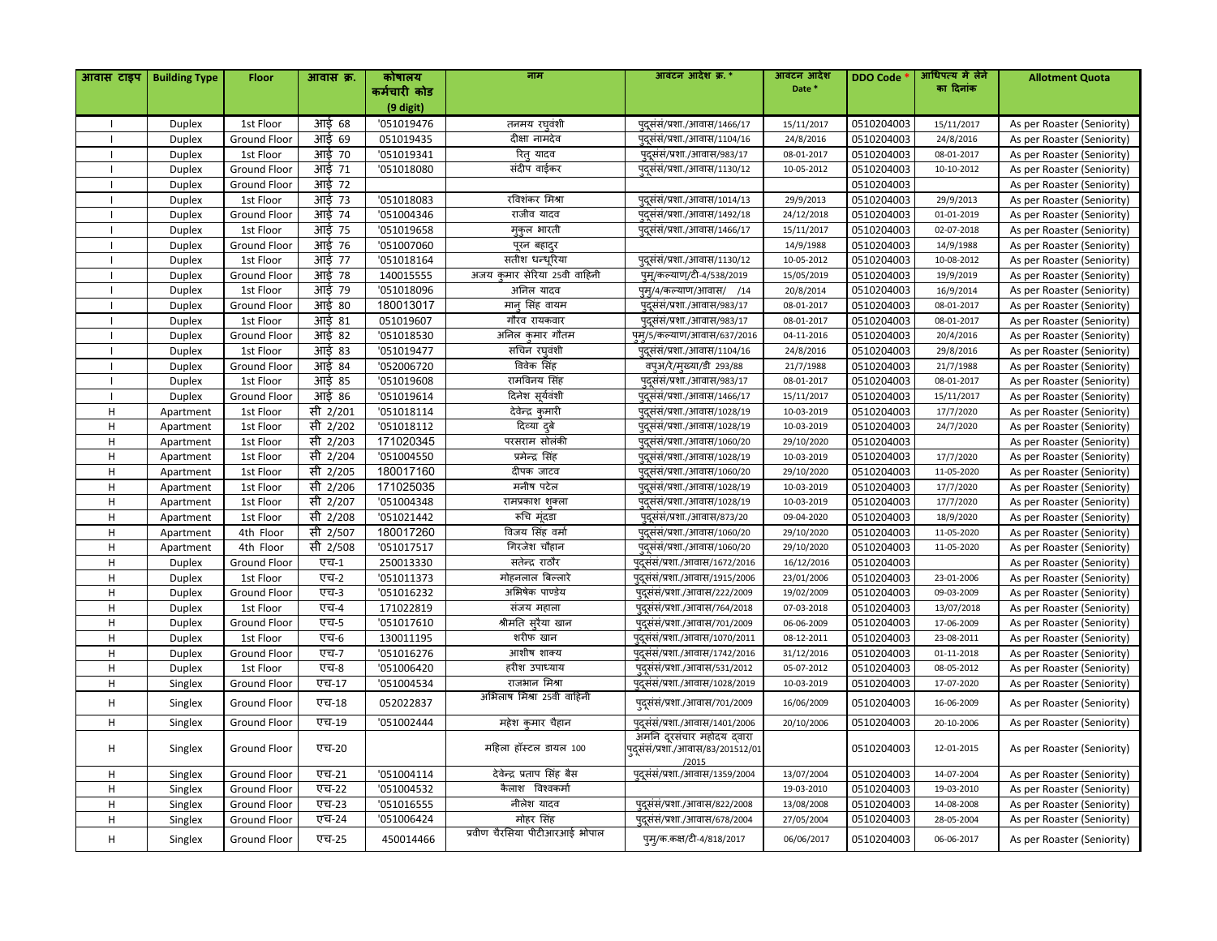| आवास टाइप | <b>Building Type</b> | Floor        | आवास क्र. | कोषालय       | नाम                           | आवंटन आदेश क्र. *                                               | आवंटन आदेश | <b>DDO Code</b> | आधिपत्य में लेने | <b>Allotment Quota</b>     |
|-----------|----------------------|--------------|-----------|--------------|-------------------------------|-----------------------------------------------------------------|------------|-----------------|------------------|----------------------------|
|           |                      |              |           | कर्मचारी कोड |                               |                                                                 | Date *     |                 | का दिनांक        |                            |
|           |                      |              |           | (9 digit)    |                               |                                                                 |            |                 |                  |                            |
|           | Duplex               | 1st Floor    | आई 68     | '051019476   | तनमय रघवंशी                   | पुदूसंसं/प्रशा./आवास/1466/17                                    | 15/11/2017 | 0510204003      | 15/11/2017       | As per Roaster (Seniority) |
|           | Duplex               | Ground Floor | आई 69     | 051019435    | दीक्षा नामदेव                 | पदुसंसं/प्रशा./आवास/1104/16                                     | 24/8/2016  | 0510204003      | 24/8/2016        | As per Roaster (Seniority) |
|           | <b>Duplex</b>        | 1st Floor    | आई 70     | '051019341   | रित् यादव                     | पुदुसंसं/प्रशा./आवास/983/17                                     | 08-01-2017 | 0510204003      | 08-01-2017       | As per Roaster (Seniority) |
|           | <b>Duplex</b>        | Ground Floor | आई 71     | '051018080   | संदीप वाईकर                   | पुदूसंसं/प्रशा./आवास/1130/12                                    | 10-05-2012 | 0510204003      | 10-10-2012       | As per Roaster (Seniority) |
|           | <b>Duplex</b>        | Ground Floor | आई 72     |              |                               |                                                                 |            | 0510204003      |                  | As per Roaster (Seniority) |
|           | <b>Duplex</b>        | 1st Floor    | आई 73     | '051018083   | रविशंकर मिश्रा                | पदुसंसं/प्रशा./आवास/1014/13                                     | 29/9/2013  | 0510204003      | 29/9/2013        | As per Roaster (Seniority) |
|           | Duplex               | Ground Floor | आई 74     | '051004346   | राजीव यादव                    | पुदूसंसं/प्रशा./आवास/1492/18                                    | 24/12/2018 | 0510204003      | 01-01-2019       | As per Roaster (Seniority) |
|           | Duplex               | 1st Floor    | आई 75     | '051019658   | म्कुल भारती                   | पुदूसंसं/प्रशा./आवास/1466/17                                    | 15/11/2017 | 0510204003      | 02-07-2018       | As per Roaster (Seniority) |
|           | Duplex               | Ground Floor | आई 76     | '051007060   | पुरन बहादुर                   |                                                                 | 14/9/1988  | 0510204003      | 14/9/1988        | As per Roaster (Seniority) |
|           | Duplex               | 1st Floor    | आई 77     | '051018164   | सतीश धन्धरिया                 | पदुसंसं/प्रशा./आवास/1130/12                                     | 10-05-2012 | 0510204003      | 10-08-2012       | As per Roaster (Seniority) |
|           | Duplex               | Ground Floor | आई 78     | 140015555    | अजय कुमार सेरिया 25वी वाहिनी  | प्#/कल्याण्/टी-4/538/2019                                       | 15/05/2019 | 0510204003      | 19/9/2019        | As per Roaster (Seniority) |
|           | Duplex               | 1st Floor    | आई 79     | '051018096   | अनिल यादव                     | प्#/4/कल्याण/आवास/ /14                                          | 20/8/2014  | 0510204003      | 16/9/2014        | As per Roaster (Seniority) |
|           | Duplex               | Ground Floor | आई 80     | 180013017    | मान् सिंह वायम                | पदुसंसं/प्रशा./आवास/983/17                                      | 08-01-2017 | 0510204003      | 08-01-2017       | As per Roaster (Seniority) |
|           | <b>Duplex</b>        | 1st Floor    | आई 81     | 051019607    | गौरव रायकवार                  | पुदुसंसं/प्रशा./आवास/983/17                                     | 08-01-2017 | 0510204003      | 08-01-2017       | As per Roaster (Seniority) |
|           | Duplex               | Ground Floor | आई 82     | '051018530   | अनिल कमार गौतम                | प्म/5/कल्याण/आवास/637/2016                                      | 04-11-2016 | 0510204003      | 20/4/2016        | As per Roaster (Seniority) |
|           | Duplex               | 1st Floor    | आई 83     | '051019477   | सचिन रघ्वंशी                  | पुदूसंसं/प्रशा./आवास/1104/16                                    | 24/8/2016  | 0510204003      | 29/8/2016        | As per Roaster (Seniority) |
|           | Duplex               | Ground Floor | आई 84     | '052006720   | विवेक सिंह                    | वप्अ/रे/मुख्या/डी 293/88                                        | 21/7/1988  | 0510204003      | 21/7/1988        | As per Roaster (Seniority) |
|           | <b>Duplex</b>        | 1st Floor    | आई 85     | '051019608   | रामविनय सिंह                  | पदुसंसं/प्रशा./आवास/983/17                                      | 08-01-2017 | 0510204003      | 08-01-2017       | As per Roaster (Seniority) |
|           | Duplex               | Ground Floor | आई 86     | '051019614   | दिनेश सूर्यवंशी               | पदुसंसं/प्रशा./आवास/1466/17                                     | 15/11/2017 | 0510204003      | 15/11/2017       | As per Roaster (Seniority) |
| н         | Apartment            | 1st Floor    | सी 2/201  | '051018114   | देवेन्द्र कुमारी              | पुदूसस/प्रशा./आवास/1028/19                                      | 10-03-2019 | 0510204003      | 17/7/2020        | As per Roaster (Seniority) |
| H         | Apartment            | 1st Floor    | सी 2/202  | '051018112   | दिव्या दबे                    | पुदूसंसं/प्रशा./आवास/1028/19                                    | 10-03-2019 | 0510204003      | 24/7/2020        | As per Roaster (Seniority) |
| H         | Apartment            | 1st Floor    | सी 2/203  | 171020345    | परसराम सोलंकी                 | पुदूसस/प्रशा./आवास/1060/20                                      | 29/10/2020 | 0510204003      |                  | As per Roaster (Seniority) |
| H         | Apartment            | 1st Floor    | सी 2/204  | '051004550   | प्रमेन्द्र सिंह               | पुदूसंसं/प्रशा./आवास/1028/19                                    | 10-03-2019 | 0510204003      | 17/7/2020        | As per Roaster (Seniority) |
| H         | Apartment            | 1st Floor    | सी 2/205  | 180017160    | दीपक जाटव                     | पुदूसंसं/प्रशा./आवास/1060/20                                    | 29/10/2020 | 0510204003      | 11-05-2020       | As per Roaster (Seniority) |
| H         | Apartment            | 1st Floor    | सी 2/206  | 171025035    | मनीष पटेल                     | पुदूसंसं/प्रशा./आवास/1028/19                                    | 10-03-2019 | 0510204003      | 17/7/2020        | As per Roaster (Seniority) |
| H         | Apartment            | 1st Floor    | सी 2/207  | '051004348   | रामप्रकाश शुक्ला              | पुदुसंसं/प्रशा./आवास/1028/19                                    | 10-03-2019 | 0510204003      | 17/7/2020        | As per Roaster (Seniority) |
| H         | Apartment            | 1st Floor    | सी 2/208  | '051021442   | रूचि मूंदडा                   | पुदूसंसं/प्रशा./आवास/873/20                                     | 09-04-2020 | 0510204003      | 18/9/2020        | As per Roaster (Seniority) |
| H         | Apartment            | 4th Floor    | सी 2/507  | 180017260    | विजय सिंह वर्मा               | पुदूसंसं/प्रशा./आवास/1060/20                                    | 29/10/2020 | 0510204003      | 11-05-2020       | As per Roaster (Seniority) |
| н         | Apartment            | 4th Floor    | सी 2/508  | '051017517   | गिरजेश चौहान                  | पुदूसंसं/प्रशा./आवास/1060/20                                    | 29/10/2020 | 0510204003      | 11-05-2020       | As per Roaster (Seniority) |
| H         | <b>Duplex</b>        | Ground Floor | एच-1      | 250013330    | सतेन्द्र राठौर                | पुदुसंसं/प्रशा./आवास/1672/2016                                  | 16/12/2016 | 0510204003      |                  | As per Roaster (Seniority) |
| H         | Duplex               | 1st Floor    | एच-2      | '051011373   | मोहनलाल बिल्लारे              | पुदुसंसं/प्रशा./आवास/1915/2006                                  | 23/01/2006 | 0510204003      | 23-01-2006       | As per Roaster (Seniority) |
| H         | Duplex               | Ground Floor | एच-3      | '051016232   | अभिषेक पाण्डेय                | पुदुसंसं/प्रशा./आवास/222/2009                                   | 19/02/2009 | 0510204003      | 09-03-2009       | As per Roaster (Seniority) |
| H         | Duplex               | 1st Floor    | एच-4      | 171022819    | संजय महाला                    | पुदुसंसं/प्रशा./आवास/764/2018                                   | 07-03-2018 | 0510204003      | 13/07/2018       | As per Roaster (Seniority) |
| H         | Duplex               | Ground Floor | एच-5      | '051017610   | श्रीमति सुरैया खान            | पद्संसं/प्रशा./आवास/701/2009                                    | 06-06-2009 | 0510204003      | 17-06-2009       | As per Roaster (Seniority) |
| H         | Duplex               | 1st Floor    | एच-6      | 130011195    | शरीफ खान                      | पुदुसंसं/प्रशा./आवास/1070/2011                                  | 08-12-2011 | 0510204003      | 23-08-2011       | As per Roaster (Seniority) |
| H         | Duplex               | Ground Floor | एच-7      | '051016276   | आशीष शाक्य                    | पुदूसंसं/प्रशा./आवास/1742/2016                                  | 31/12/2016 | 0510204003      | 01-11-2018       | As per Roaster (Seniority) |
| H         | Duplex               | 1st Floor    | एच-8      | '051006420   | हरीश उपाध्याय                 | पुदूसंसं/प्रशा./आवास/531/2012                                   | 05-07-2012 | 0510204003      | 08-05-2012       | As per Roaster (Seniority) |
| H         | Singlex              | Ground Floor | एच-17     | '051004534   | राजभान मिश्रा                 | पुदूसंसं/प्रशा./आवास/1028/2019                                  | 10-03-2019 | 0510204003      | 17-07-2020       | As per Roaster (Seniority) |
| H         | Singlex              | Ground Floor | एच-18     | 052022837    | अभिलाष मिश्रा 25वी वाहिनी     | पुदूसंसं/प्रशा./आवास/701/2009                                   | 16/06/2009 | 0510204003      | 16-06-2009       | As per Roaster (Seniority) |
| н         | Singlex              | Ground Floor | एच-19     | '051002444   | महेश कुमार चैहान              | पद्संसं/प्रशा./आवास/1401/2006                                   | 20/10/2006 | 0510204003      | 20-10-2006       | As per Roaster (Seniority) |
| н         | Singlex              | Ground Floor | एच-20     |              | महिला हॉस्टल डायल 100         | अमनि दूरसंचार महोदय द्वारा<br>पुदूसंसं/प्रशा./आवास/83/201512/01 |            | 0510204003      | 12-01-2015       | As per Roaster (Seniority) |
| H         | Singlex              | Ground Floor | एच-21     | '051004114   | देवेन्द्र प्रताप सिंह बैस     | /2015<br>पदुसंसं/प्रशा./आवास/1359/2004                          | 13/07/2004 | 0510204003      | 14-07-2004       | As per Roaster (Seniority) |
| H         | Singlex              | Ground Floor | एच-22     | '051004532   | कैलाश<br>विश्वकर्मा           |                                                                 | 19-03-2010 | 0510204003      | 19-03-2010       | As per Roaster (Seniority) |
| H         | Singlex              | Ground Floor | एच-23     | '051016555   | नीलेश यादव                    | पुदूसंसं/प्रशा./आवास/822/2008                                   | 13/08/2008 | 0510204003      | 14-08-2008       | As per Roaster (Seniority) |
| н         | Singlex              | Ground Floor | एच-24     | '051006424   | मोहर सिंह                     | पुदूसंसं/प्रशा./आवास/678/2004                                   | 27/05/2004 | 0510204003      | 28-05-2004       | As per Roaster (Seniority) |
| н         | Singlex              | Ground Floor | एच-25     | 450014466    | प्रवीण चैरसिया पीटीआरआई भोपाल | पुम्/क.कक्ष/टी-4/818/2017                                       | 06/06/2017 | 0510204003      | 06-06-2017       | As per Roaster (Seniority) |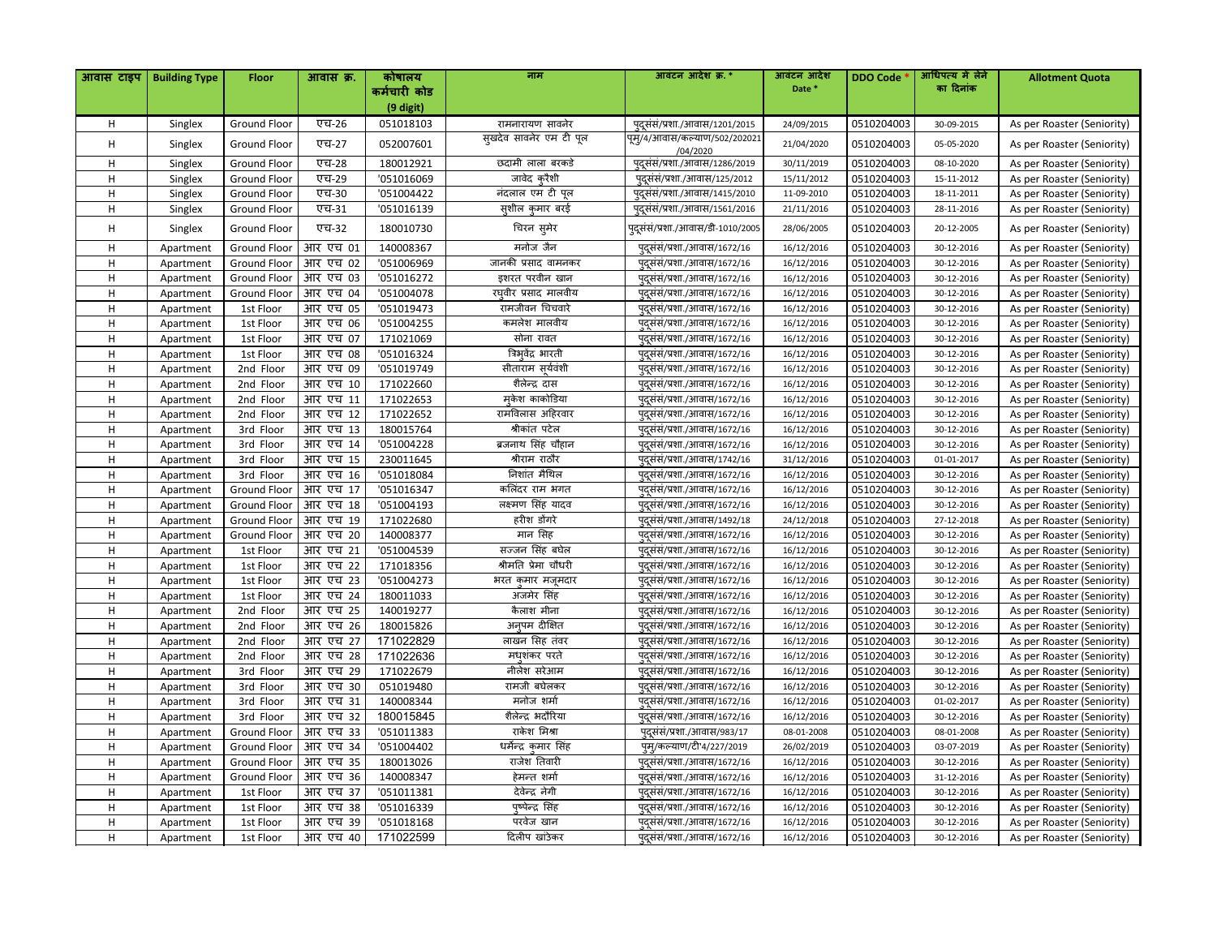| आवास टाइप   | <b>Building Type</b> | Floor        | आवास क्र. | कोषालय       | नाम                     | आवटन आदेश क्र. *                          | आवटन आदेश  | <b>DDO Code</b> | आधिपत्य में लेने | <b>Allotment Quota</b>     |
|-------------|----------------------|--------------|-----------|--------------|-------------------------|-------------------------------------------|------------|-----------------|------------------|----------------------------|
|             |                      |              |           | कर्मचारी कोड |                         |                                           | Date *     |                 | का दिनांक        |                            |
|             |                      |              |           | (9 digit)    |                         |                                           |            |                 |                  |                            |
| н           | Singlex              | Ground Floor | एच-26     | 051018103    | रामनारायण सावनेर        | पदुसंसं/प्रशा./आवास/1201/2015             | 24/09/2015 | 0510204003      | 30-09-2015       | As per Roaster (Seniority) |
| H           | Singlex              | Ground Floor | एच-27     | 052007601    | सुखदेव सावनेर एम टी पूल | पूमु/4/आवास/कल्याण/502/202021<br>/04/2020 | 21/04/2020 | 0510204003      | 05-05-2020       | As per Roaster (Seniority) |
| н           | Singlex              | Ground Floor | एच-28     | 180012921    | छदामी लाला बरकडे        | पुदूसंसं/प्रशा./आवास/1286/2019            | 30/11/2019 | 0510204003      | 08-10-2020       | As per Roaster (Seniority) |
| н           | Singlex              | Ground Floor | एच-29     | '051016069   | जावेद करैशी             | पुदूसंसं/प्रशा./आवास/125/2012             | 15/11/2012 | 0510204003      | 15-11-2012       | As per Roaster (Seniority) |
| н           | Singlex              | Ground Floor | एच-30     | '051004422   | नंदलाल एम टी पुल        | पुदूसस/प्रशा./आवास/1415/2010              | 11-09-2010 | 0510204003      | 18-11-2011       | As per Roaster (Seniority) |
| H           | Singlex              | Ground Floor | एच-31     | '051016139   | स़शील कुमार बरई         | पदुसस/प्रशा./आवास/1561/2016               | 21/11/2016 | 0510204003      | 28-11-2016       | As per Roaster (Seniority) |
| H           | Singlex              | Ground Floor | एच-32     | 180010730    | चिरन सुमेर              | प्दूसंसं/प्रशा./आवास/डी-1010/2005         | 28/06/2005 | 0510204003      | 20-12-2005       | As per Roaster (Seniority) |
| н           | Apartment            | Ground Floor | आर एच 01  | 140008367    | मनोज जैन                | पुदूसंसं/प्रशा./आवास/1672/16              | 16/12/2016 | 0510204003      | 30-12-2016       | As per Roaster (Seniority) |
| н           | Apartment            | Ground Floor | आर एच 02  | '051006969   | जानकी प्रसाद वामनकर     | प्दूसस/प्रशा./आवास/1672/16                | 16/12/2016 | 0510204003      | 30-12-2016       | As per Roaster (Seniority) |
| H           | Apartment            | Ground Floor | आर एच 03  | '051016272   | इशरत परवीन खान          | पुदूसस/प्रशा./आवास/1672/16                | 16/12/2016 | 0510204003      | 30-12-2016       | As per Roaster (Seniority) |
| н           | Apartment            | Ground Floor | आर एच 04  | '051004078   | रघ्वीर प्रसाद मालवीय    | पुदूसस/प्रशा./आवास/1672/16                | 16/12/2016 | 0510204003      | 30-12-2016       | As per Roaster (Seniority) |
| н           | Apartment            | 1st Floor    | आर एच 05  | '051019473   | रामजीवन चिचवारे         | पुदुसस/प्रशा./आवास/1672/16                | 16/12/2016 | 0510204003      | 30-12-2016       | As per Roaster (Seniority) |
| Н           | Apartment            | 1st Floor    | आर एच 06  | '051004255   | कमलेश मालवीय            | पुदुसस/प्रशा./आवास/1672/16                | 16/12/2016 | 0510204003      | 30-12-2016       | As per Roaster (Seniority) |
| н           | Apartment            | 1st Floor    | आर एच 07  | 171021069    | सोना रावत               | पुदूसस/प्रशा./आवास/1672/16                | 16/12/2016 | 0510204003      | 30-12-2016       | As per Roaster (Seniority) |
| H           | Apartment            | 1st Floor    | आर एच 08  | '051016324   | त्रिभूवेंद्र भारती      | पुदूसंसं/प्रशा./आवास/1672/16              | 16/12/2016 | 0510204003      | 30-12-2016       | As per Roaster (Seniority) |
| н           | Apartment            | 2nd Floor    | आर एच 09  | '051019749   | सीताराम सूर्यवंशी       | पुदूसंसं/प्रशा./आवास/1672/16              | 16/12/2016 | 0510204003      | 30-12-2016       | As per Roaster (Seniority) |
| H           | Apartment            | 2nd Floor    | आर एच 10  | 171022660    | शैलेन्द्र दास           | पुदूसंसं/प्रशा./आवास/1672/16              | 16/12/2016 | 0510204003      | 30-12-2016       | As per Roaster (Seniority) |
| H           | Apartment            | 2nd Floor    | आर एच 11  | 171022653    | म्केश काकोडिया          | पुदूसंसं/प्रशा./आवास/1672/16              | 16/12/2016 | 0510204003      | 30-12-2016       | As per Roaster (Seniority) |
| н           | Apartment            | 2nd Floor    | आर एच 12  | 171022652    | रामविलास अहिरवार        | पुदूसंसं/प्रशा./आवास/1672/16              | 16/12/2016 | 0510204003      | 30-12-2016       | As per Roaster (Seniority) |
| н           | Apartment            | 3rd Floor    | आर एच 13  | 180015764    | श्रीकांत पटेल           | प्दूसस/प्रशा./आवास/1672/16                | 16/12/2016 | 0510204003      | 30-12-2016       | As per Roaster (Seniority) |
| н           | Apartment            | 3rd Floor    | आर एच 14  | '051004228   | ब्रजनाथ सिंह चौहान      | प्दूसस/प्रशा./आवास/1672/16                | 16/12/2016 | 0510204003      | 30-12-2016       | As per Roaster (Seniority) |
| н           | Apartment            | 3rd Floor    | आर एच 15  | 230011645    | श्रीराम राठौर           | पुदूसस/प्रशा./आवास/1742/16                | 31/12/2016 | 0510204003      | 01-01-2017       | As per Roaster (Seniority) |
| H           | Apartment            | 3rd Floor    | आर एच 16  | '051018084   | निशांत मैथिल            | पुदूसस/प्रशा./आवास/1672/16                | 16/12/2016 | 0510204003      | 30-12-2016       | As per Roaster (Seniority) |
| н           | Apartment            | Ground Floor | आर एच 17  | '051016347   | कलिंदर राम भगत          | पदुसंसं/प्रशा./आवास/1672/16               | 16/12/2016 | 0510204003      | 30-12-2016       | As per Roaster (Seniority) |
| H           | Apartment            | Ground Floor | आर एच 18  | '051004193   | लक्ष्मण सिंह यादव       | पदुसंसं/प्रशा./आवास/1672/16               | 16/12/2016 | 0510204003      | 30-12-2016       | As per Roaster (Seniority) |
| H           | Apartment            | Ground Floor | आर एच 19  | 171022680    | हरीश डोंगरे             | पदुसंसं/प्रशा./आवास/1492/18               | 24/12/2018 | 0510204003      | 27-12-2018       | As per Roaster (Seniority) |
| H           | Apartment            | Ground Floor | आर एच 20  | 140008377    | मान सिह                 | पुदूसंसं/प्रशा./आवास/1672/16              | 16/12/2016 | 0510204003      | 30-12-2016       | As per Roaster (Seniority) |
| H           | Apartment            | 1st Floor    | आर एच 21  | '051004539   | सज्जन सिंह बघेल         | पदुसंसं/प्रशा./आवास/1672/16               | 16/12/2016 | 0510204003      | 30-12-2016       | As per Roaster (Seniority) |
| H           | Apartment            | 1st Floor    | आर एच 22  | 171018356    | श्रीमति प्रेमा चौधरी    | पदुसंसं/प्रशा./आवास/1672/16               | 16/12/2016 | 0510204003      | 30-12-2016       | As per Roaster (Seniority) |
| H           | Apartment            | 1st Floor    | आर एच 23  | '051004273   | भरत कुमार मजूमदार       | पुदूसंसं/प्रशा./आवास/1672/16              | 16/12/2016 | 0510204003      | 30-12-2016       | As per Roaster (Seniority) |
| н           | Apartment            | 1st Floor    | आर एच 24  | 180011033    | अजमेर सिंह              | पुदूसंसं/प्रशा./आवास/1672/16              | 16/12/2016 | 0510204003      | 30-12-2016       | As per Roaster (Seniority) |
| н           | Apartment            | 2nd Floor    | आर एच 25  | 140019277    | कैलाश मीना              | पदुसस/प्रशा./आवास/1672/16                 | 16/12/2016 | 0510204003      | 30-12-2016       | As per Roaster (Seniority) |
| $\mathsf H$ | Apartment            | 2nd Floor    | आर एच 26  | 180015826    | अनृपम दीक्षित           | पदुसस/प्रशा./आवास/1672/16                 | 16/12/2016 | 0510204003      | 30-12-2016       | As per Roaster (Seniority) |
| н           | Apartment            | 2nd Floor    | आर एच 27  | 171022829    | लाखन सिंह तंवर          | प्दूसस/प्रशा./आवास/1672/16                | 16/12/2016 | 0510204003      | 30-12-2016       | As per Roaster (Seniority) |
| н           | Apartment            | 2nd Floor    | आर एच 28  | 171022636    | मधुशंकर परते            | पुदूसंसं/प्रशा./आवास/1672/16              | 16/12/2016 | 0510204003      | 30-12-2016       | As per Roaster (Seniority) |
| H           | Apartment            | 3rd Floor    | आर एच 29  | 171022679    | नीलेश सरेआम             | पुदूसंसं/प्रशा./आवास/1672/16              | 16/12/2016 | 0510204003      | 30-12-2016       | As per Roaster (Seniority) |
| н           | Apartment            | 3rd Floor    | आर एच 30  | 051019480    | रामजी बघेलकर            | पुदूसंसं/प्रशा./आवास/1672/16              | 16/12/2016 | 0510204003      | 30-12-2016       | As per Roaster (Seniority) |
| н           | Apartment            | 3rd Floor    | आर एच 31  | 140008344    | मनोज शर्मा              | पुदुसंसं/प्रशा./आवास/1672/16              | 16/12/2016 | 0510204003      | 01-02-2017       | As per Roaster (Seniority) |
| H           | Apartment            | 3rd Floor    | आर एच 32  | 180015845    | शैलेन्द्र भदौरिया       | पुदूसंसं/प्रशा./आवास/1672/16              | 16/12/2016 | 0510204003      | 30-12-2016       | As per Roaster (Seniority) |
| H           | Apartment            | Ground Floor | आर एच 33  | '051011383   | राकेश मिश्रा            | पुदूसंसं/प्रशा./आवास/983/17               | 08-01-2008 | 0510204003      | 08-01-2008       | As per Roaster (Seniority) |
| H           | Apartment            | Ground Floor | आर एच 34  | '051004402   | धर्मेन्द्र कमार सिंह    | प्#/कल्याण/टी'4/227/2019                  | 26/02/2019 | 0510204003      | 03-07-2019       | As per Roaster (Seniority) |
| H           | Apartment            | Ground Floor | आर एच 35  | 180013026    | राजेश तिवारी            | पदुसस/प्रशा./आवास/1672/16                 | 16/12/2016 | 0510204003      | 30-12-2016       | As per Roaster (Seniority) |
| H           | Apartment            | Ground Floor | आर एच 36  | 140008347    | हेमन्त शर्मा            | पुदूससं/प्रशा./आवास/1672/16               | 16/12/2016 | 0510204003      | 31-12-2016       | As per Roaster (Seniority) |
| н           | Apartment            | 1st Floor    | आर एच 37  | '051011381   | देवेन्द्र नेगी          | पुदूसंसं/प्रशा./आवास/1672/16              | 16/12/2016 | 0510204003      | 30-12-2016       | As per Roaster (Seniority) |
| н           | Apartment            | 1st Floor    | आर एच 38  | '051016339   | पृष्पेन्द्र सिंह        | पुदूसंसं/प्रशा./आवास/1672/16              | 16/12/2016 | 0510204003      | 30-12-2016       | As per Roaster (Seniority) |
| н           | Apartment            | 1st Floor    | आर एच 39  | '051018168   | परवेज खान               | पदुसंसं/प्रशा./आवास/1672/16               | 16/12/2016 | 0510204003      | 30-12-2016       | As per Roaster (Seniority) |
| н           | Apartment            | 1st Floor    | आर एच 40  | 171022599    | दिलीप खांउेकर           | पुदूसंसं/प्रशा./आवास/1672/16              | 16/12/2016 | 0510204003      | 30-12-2016       | As per Roaster (Seniority) |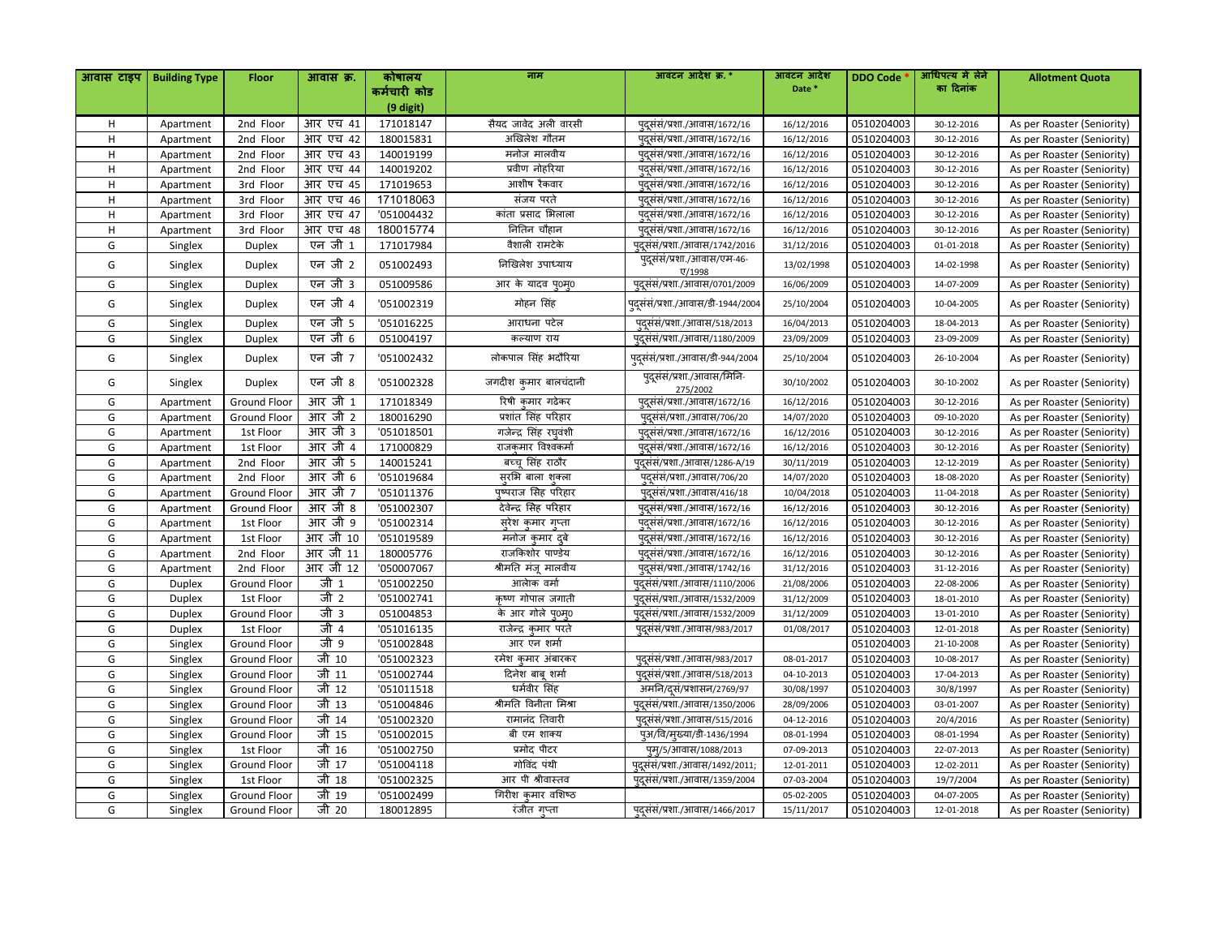| आवास टाइप | <b>Building Type</b> | Floor                            | आवास क्र.        | कोषालय                   | नाम                                    | आवंटन आदेश क्र. *                      | आवंटन आदेश | <b>DDO Code</b>          | आधिपत्य में लेने         | <b>Allotment Quota</b>                                   |
|-----------|----------------------|----------------------------------|------------------|--------------------------|----------------------------------------|----------------------------------------|------------|--------------------------|--------------------------|----------------------------------------------------------|
|           |                      |                                  |                  | कर्मचारी कोड             |                                        |                                        | Date *     |                          | का दिनांक                |                                                          |
|           |                      |                                  |                  | (9 digit)                |                                        |                                        |            |                          |                          |                                                          |
| н         | Apartment            | 2nd Floor                        | आर एच 41         | 171018147                | सैयद जावेद अली वारसी                   | पदुसंसं/प्रशा./आवास/1672/16            | 16/12/2016 | 0510204003               | 30-12-2016               | As per Roaster (Seniority)                               |
| н         | Apartment            | 2nd Floor                        | आर एच 42         | 180015831                | अखिलेश गौतम                            | पदुसंसं/प्रशा./आवास/1672/16            | 16/12/2016 | 0510204003               | 30-12-2016               | As per Roaster (Seniority)                               |
| н         | Apartment            | 2nd Floor                        | आर एच 43         | 140019199                | मनोज मालवीय                            | पुदूसंसं/प्रशा./आवास/1672/16           | 16/12/2016 | 0510204003               | 30-12-2016               | As per Roaster (Seniority)                               |
| н         | Apartment            | 2nd Floor                        | आर एच 44         | 140019202                | प्रवीण नोहरिया                         | पुदूसंसं/प्रशा./आवास/1672/16           | 16/12/2016 | 0510204003               | 30-12-2016               | As per Roaster (Seniority)                               |
| н         | Apartment            | 3rd Floor                        | आर एच 45         | 171019653                | आशीष रैकवार                            | पदुसंसं/प्रशा./आवास/1672/16            | 16/12/2016 | 0510204003               | 30-12-2016               | As per Roaster (Seniority)                               |
| н         | Apartment            | 3rd Floor                        | आर एच 46         | 171018063                | संजय परते                              | पदुसंसं/प्रशा./आवास/1672/16            | 16/12/2016 | 0510204003               | 30-12-2016               | As per Roaster (Seniority)                               |
| н         | Apartment            | 3rd Floor                        | आर एच 47         | '051004432               | कांता प्रसाद भिलाला                    | पुदूसंसं/प्रशा./आवास/1672/16           | 16/12/2016 | 0510204003               | 30-12-2016               | As per Roaster (Seniority)                               |
| н         | Apartment            | 3rd Floor                        | आर एच 48         | 180015774                | नितिन चौहान                            | पदुसंसं/प्रशा./आवास/1672/16            | 16/12/2016 | 0510204003               | 30-12-2016               | As per Roaster (Seniority)                               |
| G         | Singlex              | <b>Duplex</b>                    | एन जी 1          | 171017984                | वैशाली रामटेके                         | पदसंसं/प्रशा./आवास/1742/2016           | 31/12/2016 | 0510204003               | 01-01-2018               | As per Roaster (Seniority)                               |
| G         | Singlex              | Duplex                           | एन जी 2          | 051002493                | निखिलेश उपाध्याय                       | पदुसंसं/प्रशा./आवास/एम-46-<br>ए/1998   | 13/02/1998 | 0510204003               | 14-02-1998               | As per Roaster (Seniority)                               |
| G         | Singlex              | Duplex                           | एन जी 3          | 051009586                | आर के यादव प्0म्0                      | पुदुसंसं/प्रशा./आवास/0701/2009         | 16/06/2009 | 0510204003               | 14-07-2009               | As per Roaster (Seniority)                               |
| G         | Singlex              | Duplex                           | एन जी 4          | '051002319               | मोहन सिंह                              | प्दूसंसं/प्रशा./आवास/डी-1944/2004      | 25/10/2004 | 0510204003               | 10-04-2005               | As per Roaster (Seniority)                               |
| G         | Singlex              | <b>Duplex</b>                    | एन जी 5          | '051016225               | आराधना पटेल                            | पदसंसं/प्रशा./आवास/518/2013            | 16/04/2013 | 0510204003               | 18-04-2013               | As per Roaster (Seniority)                               |
| G         | Singlex              | Duplex                           | एन जी 6          | 051004197                | कल्याण राय                             | पुदूसंसं/प्रशा./आवास/1180/2009         | 23/09/2009 | 0510204003               | 23-09-2009               | As per Roaster (Seniority)                               |
| G         | Singlex              | Duplex                           | एन जी 7          | '051002432               | लोकपाल सिंह भदौरिया                    | पुदूसंसं/प्रशा./आवास/डी-944/2004       | 25/10/2004 | 0510204003               | 26-10-2004               | As per Roaster (Seniority)                               |
| G         | Singlex              | Duplex                           | एन जी 8          | '051002328               | जगदीश कुमार बालचंदानी                  | पुदूसंसं/प्रशा./आवास/मिनि-<br>275/2002 | 30/10/2002 | 0510204003               | 30-10-2002               | As per Roaster (Seniority)                               |
| G         | Apartment            | Ground Floor                     | आर जी 1          | 171018349                | रिषी कुमार गढेकर                       | पुदूसंसं/प्रशा./आवास/1672/16           | 16/12/2016 | 0510204003               | 30-12-2016               | As per Roaster (Seniority)                               |
| G         | Apartment            | Ground Floor                     | आर जी 2          | 180016290                | प्रशांत सिंह परिहार                    | पदुसंसं/प्रशा./आवास/706/20             | 14/07/2020 | 0510204003               | 09-10-2020               | As per Roaster (Seniority)                               |
| G         | Apartment            | 1st Floor                        | आर जी 3          | '051018501               | गजेन्द्र सिंह रघ्वंशी                  | पदुसंसं/प्रशा./आवास/1672/16            | 16/12/2016 | 0510204003               | 30-12-2016               | As per Roaster (Seniority)                               |
| G         | Apartment            | 1st Floor                        | आर जी 4          | 171000829                | राजकमार विश्वकर्मा                     | पदुसंसं/प्रशा./आवास/1672/16            | 16/12/2016 | 0510204003               | 30-12-2016               | As per Roaster (Seniority)                               |
| G         | Apartment            | 2nd Floor                        | आर जी 5          | 140015241                | बच्चू सिंह राठौर                       | पुदूसंसं/प्रशा./आवास/1286-A/19         | 30/11/2019 | 0510204003               | 12-12-2019               | As per Roaster (Seniority)                               |
| G         | Apartment            | 2nd Floor                        | आर जी 6          | '051019684               | स् $\sqrt{3}$ मे बाला श् $\sqrt{3}$ ला | पुदुसंसं/प्रशा./आवास/706/20            | 14/07/2020 | 0510204003               | 18-08-2020               | As per Roaster (Seniority)                               |
| G         | Apartment            | Ground Floor                     | आर जी 7          | '051011376               | पष्पराज सिंह परिहार                    | पदुसंसं/प्रशा./आवास/416/18             | 10/04/2018 | 0510204003               | 11-04-2018               | As per Roaster (Seniority)                               |
| G         | Apartment            | Ground Floor                     | आर जी 8          | '051002307               | देवेन्द्र सिंह परिहार                  | पुदुसंसं/प्रशा./आवास/1672/16           | 16/12/2016 | 0510204003               | 30-12-2016               | As per Roaster (Seniority)                               |
| G         | Apartment            | 1st Floor                        | आर जी 9          | '051002314               | सूरेश कुमार गुप्ता                     | पुदूसंसं/प्रशा./आवास/1672/16           | 16/12/2016 | 0510204003               | 30-12-2016               | As per Roaster (Seniority)                               |
| G         | Apartment            | 1st Floor                        | आर जी 10         | '051019589               | मनोज कुमार दुबे                        | पुदूसंसं/प्रशा./आवास/1672/16           | 16/12/2016 | 0510204003               | 30-12-2016               | As per Roaster (Seniority)                               |
| G         | Apartment            | 2nd Floor                        | आर जी 11         | 180005776                | राजकिशोर पाण्डेय                       | पदुसंसं/प्रशा./आवास/1672/16            | 16/12/2016 | 0510204003               | 30-12-2016               | As per Roaster (Seniority)                               |
| G<br>G    | Apartment            | 2nd Floor                        | आर जी 12<br>जी 1 | '050007067               | श्रीमति मंज् मालवीय<br>आलेाक वर्मा     | पुदुसंसं/प्रशा./आवास/1742/16           | 31/12/2016 | 0510204003               | 31-12-2016               | As per Roaster (Seniority)                               |
|           | Duplex               | Ground Floor                     | जी 2             | '051002250               |                                        | पुदुसंसं/प्रशा./आवास/1110/2006         | 21/08/2006 | 0510204003               | 22-08-2006               | As per Roaster (Seniority)                               |
| G<br>G    | <b>Duplex</b>        | 1st Floor                        | जी 3             | '051002741               | कृष्ण गोपाल जगाती<br>के आर गोले प0म0   | पुदूसंसं/प्रशा./आवास/1532/2009         | 31/12/2009 | 0510204003               | 18-01-2010               | As per Roaster (Seniority)                               |
|           | <b>Duplex</b>        | <b>Ground Floor</b>              | जी 4             | 051004853                |                                        | पदुसंसं/प्रशा./आवास/1532/2009          | 31/12/2009 | 0510204003               | 13-01-2010               | As per Roaster (Seniority)                               |
| G<br>G    | <b>Duplex</b>        | 1st Floor<br><b>Ground Floor</b> | जी 9             | '051016135               | राजेन्द्र कुमार परते<br>आर एन शर्मा    | पदुसंसं/प्रशा./आवास/983/2017           | 01/08/2017 | 0510204003<br>0510204003 | 12-01-2018<br>21-10-2008 | As per Roaster (Seniority)                               |
| G         | Singlex<br>Singlex   | <b>Ground Floor</b>              | जी 10            | '051002848<br>'051002323 | रमेश कमार अंबारकर                      | पुदुसंसं/प्रशा./आवास/983/2017          | 08-01-2017 | 0510204003               | 10-08-2017               | As per Roaster (Seniority)<br>As per Roaster (Seniority) |
| G         | Singlex              | Ground Floor                     | जी 11            | '051002744               | दिनेश बाब शर्मा                        | पदसंसं/प्रशा./आवास/518/2013            | 04-10-2013 | 0510204003               | 17-04-2013               | As per Roaster (Seniority)                               |
| G         | Singlex              | Ground Floor                     | जी 12            | '051011518               | धर्मवीर सिंह                           | अमनि/दुसं/प्रशासन/2769/97              | 30/08/1997 | 0510204003               | 30/8/1997                | As per Roaster (Seniority)                               |
| G         | Singlex              | Ground Floor                     | जी 13            | '051004846               | श्रीमति विनीता मिश्रा                  | पदुसंसं/प्रशा./आवास/1350/2006          | 28/09/2006 | 0510204003               | 03-01-2007               | As per Roaster (Seniority)                               |
| G         | Singlex              | <b>Ground Floor</b>              | जी 14            | '051002320               | रामानंद तिवारी                         | पुदूसंसं/प्रशा./आवास/515/2016          | 04-12-2016 | 0510204003               | 20/4/2016                | As per Roaster (Seniority)                               |
| G         | Singlex              | Ground Floor                     | जी 15            | '051002015               | बी एम शाक्य                            | प्अ/वि/मुख्या/डी-1436/1994             | 08-01-1994 | 0510204003               | 08-01-1994               | As per Roaster (Seniority)                               |
| G         | Singlex              | 1st Floor                        | जी 16            | '051002750               | प्रमोद पीटर                            | प्म्/5/आवास/1088/2013                  | 07-09-2013 | 0510204003               | 22-07-2013               | As per Roaster (Seniority)                               |
| G         | Singlex              | Ground Floor                     | जी 17            | '051004118               | गोविंद पंथी                            | प्दूसंसं/प्रशा./आवास/1492/2011;        | 12-01-2011 | 0510204003               | 12-02-2011               | As per Roaster (Seniority)                               |
| G         | Singlex              | 1st Floor                        | जी 18            | '051002325               | आर पी श्रीवास्तव                       | पुदूसंसं/प्रशा./आवास/1359/2004         | 07-03-2004 | 0510204003               | 19/7/2004                | As per Roaster (Seniority)                               |
| G         | Singlex              | Ground Floor                     | जी 19            | '051002499               | गिरीश कुमार वशिष्ठ                     |                                        | 05-02-2005 | 0510204003               | 04-07-2005               | As per Roaster (Seniority)                               |
| G         | Singlex              | Ground Floor                     | जी 20            | 180012895                | रंजीत गृप्ता                           | पदुसंसं/प्रशा./आवास/1466/2017          | 15/11/2017 | 0510204003               | 12-01-2018               | As per Roaster (Seniority)                               |
|           |                      |                                  |                  |                          |                                        |                                        |            |                          |                          |                                                          |